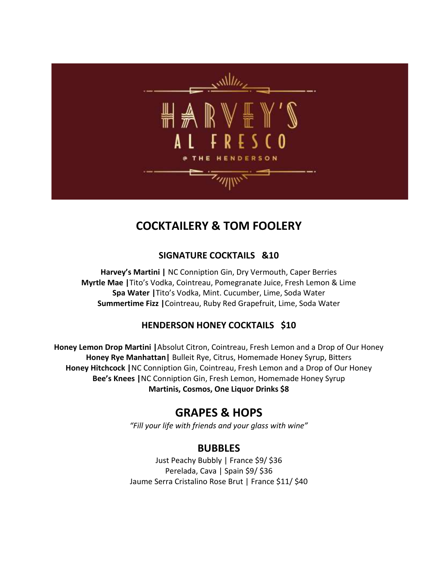

# **COCKTAILERY & TOM FOOLERY**

#### **SIGNATURE COCKTAILS &10**

**Harvey's Martini |** NC Conniption Gin, Dry Vermouth, Caper Berries **Myrtle Mae |**Tito's Vodka, Cointreau, Pomegranate Juice, Fresh Lemon & Lime **Spa Water |**Tito's Vodka, Mint. Cucumber, Lime, Soda Water **Summertime Fizz |**Cointreau, Ruby Red Grapefruit, Lime, Soda Water

## **HENDERSON HONEY COCKTAILS \$10**

**Honey Lemon Drop Martini |**Absolut Citron, Cointreau, Fresh Lemon and a Drop of Our Honey **Honey Rye Manhattan|** Bulleit Rye, Citrus, Homemade Honey Syrup, Bitters **Honey Hitchcock |**NC Conniption Gin, Cointreau, Fresh Lemon and a Drop of Our Honey **Bee's Knees |**NC Conniption Gin, Fresh Lemon, Homemade Honey Syrup **Martinis, Cosmos, One Liquor Drinks \$8**

## **GRAPES & HOPS**

*"Fill your life with friends and your glass with wine"*

## **BUBBLES**

Just Peachy Bubbly | France \$9/ \$36 Perelada, Cava | Spain \$9/ \$36 Jaume Serra Cristalino Rose Brut | France \$11/ \$40